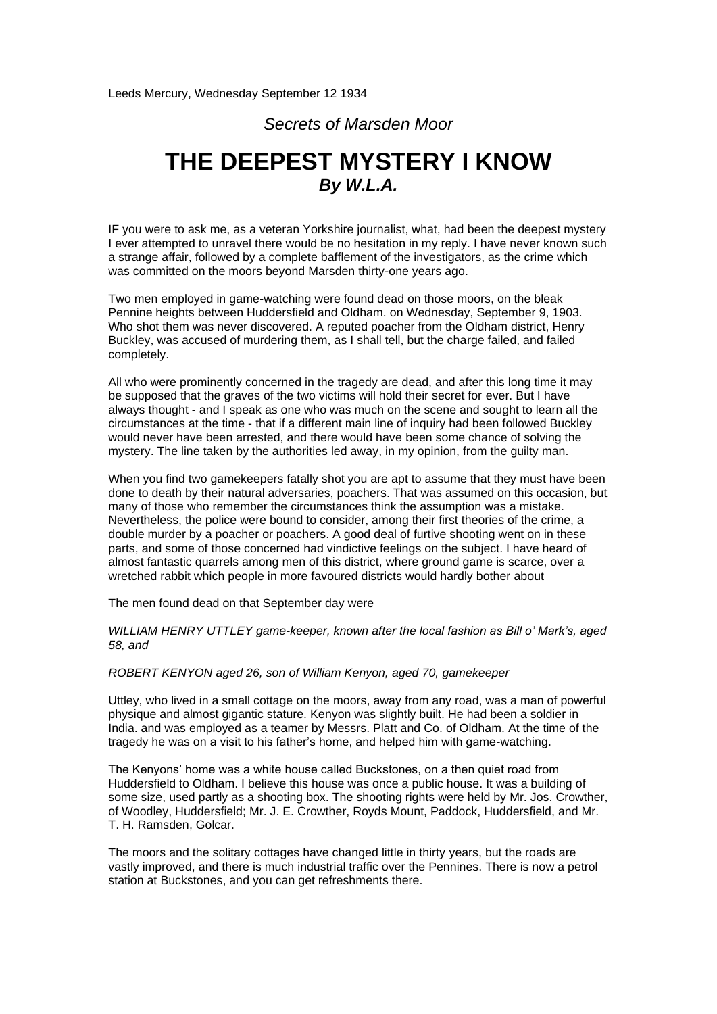## *Secrets of Marsden Moor*

## **THE DEEPEST MYSTERY I KNOW** *By W.L.A.*

IF you were to ask me, as a veteran Yorkshire journalist, what, had been the deepest mystery I ever attempted to unravel there would be no hesitation in my reply. I have never known such a strange affair, followed by a complete bafflement of the investigators, as the crime which was committed on the moors beyond Marsden thirty-one years ago.

Two men employed in game-watching were found dead on those moors, on the bleak Pennine heights between Huddersfield and Oldham. on Wednesday, September 9, 1903. Who shot them was never discovered. A reputed poacher from the Oldham district, Henry Buckley, was accused of murdering them, as I shall tell, but the charge failed, and failed completely.

All who were prominently concerned in the tragedy are dead, and after this long time it may be supposed that the graves of the two victims will hold their secret for ever. But I have always thought - and I speak as one who was much on the scene and sought to learn all the circumstances at the time - that if a different main line of inquiry had been followed Buckley would never have been arrested, and there would have been some chance of solving the mystery. The line taken by the authorities led away, in my opinion, from the guilty man.

When you find two gamekeepers fatally shot you are apt to assume that they must have been done to death by their natural adversaries, poachers. That was assumed on this occasion, but many of those who remember the circumstances think the assumption was a mistake. Nevertheless, the police were bound to consider, among their first theories of the crime, a double murder by a poacher or poachers. A good deal of furtive shooting went on in these parts, and some of those concerned had vindictive feelings on the subject. I have heard of almost fantastic quarrels among men of this district, where ground game is scarce, over a wretched rabbit which people in more favoured districts would hardly bother about

The men found dead on that September day were

*WILLIAM HENRY UTTLEY game-keeper, known after the local fashion as Bill o' Mark's, aged 58, and*

*ROBERT KENYON aged 26, son of William Kenyon, aged 70, gamekeeper*

Uttley, who lived in a small cottage on the moors, away from any road, was a man of powerful physique and almost gigantic stature. Kenyon was slightly built. He had been a soldier in India. and was employed as a teamer by Messrs. Platt and Co. of Oldham. At the time of the tragedy he was on a visit to his father's home, and helped him with game-watching.

The Kenyons' home was a white house called Buckstones, on a then quiet road from Huddersfield to Oldham. I believe this house was once a public house. It was a building of some size, used partly as a shooting box. The shooting rights were held by Mr. Jos. Crowther, of Woodley, Huddersfield; Mr. J. E. Crowther, Royds Mount, Paddock, Huddersfield, and Mr. T. H. Ramsden, Golcar.

The moors and the solitary cottages have changed little in thirty years, but the roads are vastly improved, and there is much industrial traffic over the Pennines. There is now a petrol station at Buckstones, and you can get refreshments there.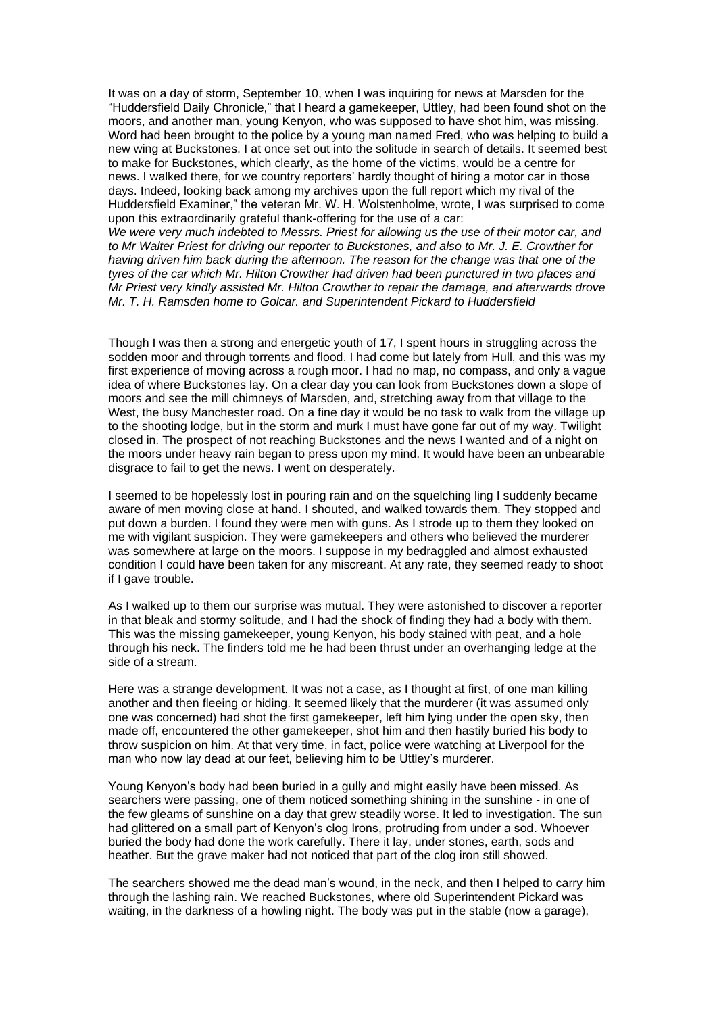It was on a day of storm, September 10, when I was inquiring for news at Marsden for the "Huddersfield Daily Chronicle," that I heard a gamekeeper, Uttley, had been found shot on the moors, and another man, young Kenyon, who was supposed to have shot him, was missing. Word had been brought to the police by a young man named Fred, who was helping to build a new wing at Buckstones. I at once set out into the solitude in search of details. It seemed best to make for Buckstones, which clearly, as the home of the victims, would be a centre for news. I walked there, for we country reporters' hardly thought of hiring a motor car in those days. Indeed, looking back among my archives upon the full report which my rival of the Huddersfield Examiner," the veteran Mr. W. H. Wolstenholme, wrote, I was surprised to come upon this extraordinarily grateful thank-offering for the use of a car:

*We were very much indebted to Messrs. Priest for allowing us the use of their motor car, and to Mr Walter Priest for driving our reporter to Buckstones, and also to Mr. J. E. Crowther for having driven him back during the afternoon. The reason for the change was that one of the tyres of the car which Mr. Hilton Crowther had driven had been punctured in two places and Mr Priest very kindly assisted Mr. Hilton Crowther to repair the damage, and afterwards drove Mr. T. H. Ramsden home to Golcar. and Superintendent Pickard to Huddersfield*

Though I was then a strong and energetic youth of 17, I spent hours in struggling across the sodden moor and through torrents and flood. I had come but lately from Hull, and this was my first experience of moving across a rough moor. I had no map, no compass, and only a vague idea of where Buckstones lay. On a clear day you can look from Buckstones down a slope of moors and see the mill chimneys of Marsden, and, stretching away from that village to the West, the busy Manchester road. On a fine day it would be no task to walk from the village up to the shooting lodge, but in the storm and murk I must have gone far out of my way. Twilight closed in. The prospect of not reaching Buckstones and the news I wanted and of a night on the moors under heavy rain began to press upon my mind. It would have been an unbearable disgrace to fail to get the news. I went on desperately.

I seemed to be hopelessly lost in pouring rain and on the squelching ling I suddenly became aware of men moving close at hand. I shouted, and walked towards them. They stopped and put down a burden. I found they were men with guns. As I strode up to them they looked on me with vigilant suspicion. They were gamekeepers and others who believed the murderer was somewhere at large on the moors. I suppose in my bedraggled and almost exhausted condition I could have been taken for any miscreant. At any rate, they seemed ready to shoot if I gave trouble.

As I walked up to them our surprise was mutual. They were astonished to discover a reporter in that bleak and stormy solitude, and I had the shock of finding they had a body with them. This was the missing gamekeeper, young Kenyon, his body stained with peat, and a hole through his neck. The finders told me he had been thrust under an overhanging ledge at the side of a stream.

Here was a strange development. It was not a case, as I thought at first, of one man killing another and then fleeing or hiding. It seemed likely that the murderer (it was assumed only one was concerned) had shot the first gamekeeper, left him lying under the open sky, then made off, encountered the other gamekeeper, shot him and then hastily buried his body to throw suspicion on him. At that very time, in fact, police were watching at Liverpool for the man who now lay dead at our feet, believing him to be Uttley's murderer.

Young Kenyon's body had been buried in a gully and might easily have been missed. As searchers were passing, one of them noticed something shining in the sunshine - in one of the few gleams of sunshine on a day that grew steadily worse. It led to investigation. The sun had glittered on a small part of Kenyon's clog Irons, protruding from under a sod. Whoever buried the body had done the work carefully. There it lay, under stones, earth, sods and heather. But the grave maker had not noticed that part of the clog iron still showed.

The searchers showed me the dead man's wound, in the neck, and then I helped to carry him through the lashing rain. We reached Buckstones, where old Superintendent Pickard was waiting, in the darkness of a howling night. The body was put in the stable (now a garage),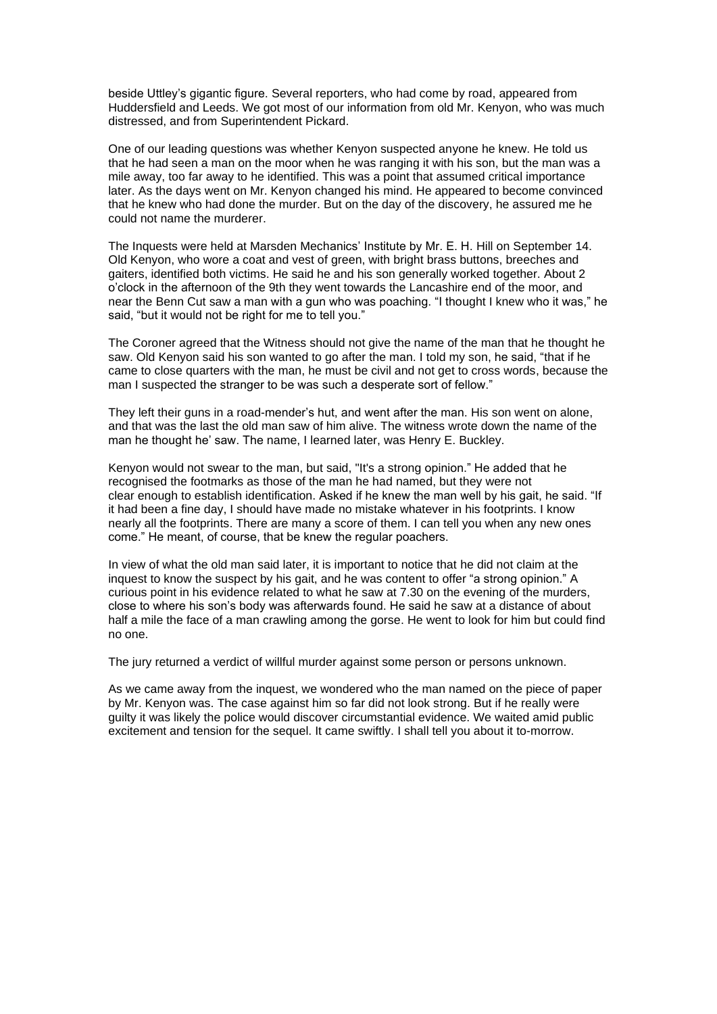beside Uttley's gigantic figure. Several reporters, who had come by road, appeared from Huddersfield and Leeds. We got most of our information from old Mr. Kenyon, who was much distressed, and from Superintendent Pickard.

One of our leading questions was whether Kenyon suspected anyone he knew. He told us that he had seen a man on the moor when he was ranging it with his son, but the man was a mile away, too far away to he identified. This was a point that assumed critical importance later. As the days went on Mr. Kenyon changed his mind. He appeared to become convinced that he knew who had done the murder. But on the day of the discovery, he assured me he could not name the murderer.

The Inquests were held at Marsden Mechanics' Institute by Mr. E. H. Hill on September 14. Old Kenyon, who wore a coat and vest of green, with bright brass buttons, breeches and gaiters, identified both victims. He said he and his son generally worked together. About 2 o'clock in the afternoon of the 9th they went towards the Lancashire end of the moor, and near the Benn Cut saw a man with a gun who was poaching. "I thought I knew who it was," he said, "but it would not be right for me to tell you."

The Coroner agreed that the Witness should not give the name of the man that he thought he saw. Old Kenyon said his son wanted to go after the man. I told my son, he said, "that if he came to close quarters with the man, he must be civil and not get to cross words, because the man I suspected the stranger to be was such a desperate sort of fellow."

They left their guns in a road-mender's hut, and went after the man. His son went on alone, and that was the last the old man saw of him alive. The witness wrote down the name of the man he thought he' saw. The name, I learned later, was Henry E. Buckley.

Kenyon would not swear to the man, but said, "It's a strong opinion." He added that he recognised the footmarks as those of the man he had named, but they were not clear enough to establish identification. Asked if he knew the man well by his gait, he said. "If it had been a fine day, I should have made no mistake whatever in his footprints. I know nearly all the footprints. There are many a score of them. I can tell you when any new ones come." He meant, of course, that be knew the regular poachers.

In view of what the old man said later, it is important to notice that he did not claim at the inquest to know the suspect by his gait, and he was content to offer "a strong opinion." A curious point in his evidence related to what he saw at 7.30 on the evening of the murders, close to where his son's body was afterwards found. He said he saw at a distance of about half a mile the face of a man crawling among the gorse. He went to look for him but could find no one.

The jury returned a verdict of willful murder against some person or persons unknown.

As we came away from the inquest, we wondered who the man named on the piece of paper by Mr. Kenyon was. The case against him so far did not look strong. But if he really were guilty it was likely the police would discover circumstantial evidence. We waited amid public excitement and tension for the sequel. It came swiftly. I shall tell you about it to-morrow.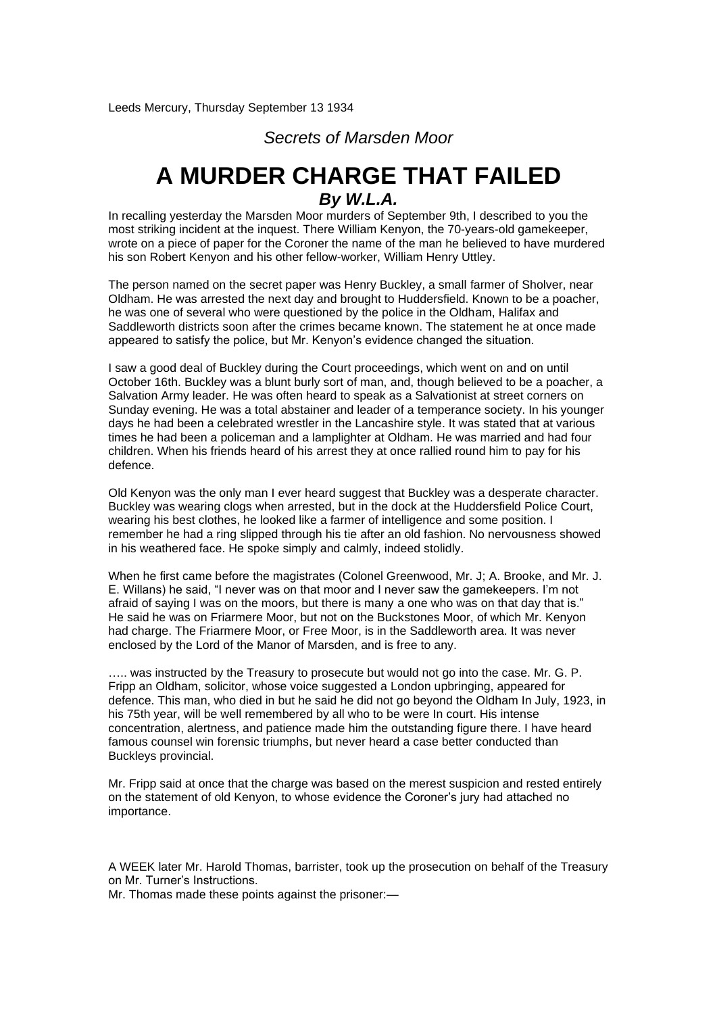*Secrets of Marsden Moor*

## **A MURDER CHARGE THAT FAILED** *By W.L.A.*

In recalling yesterday the Marsden Moor murders of September 9th, I described to you the most striking incident at the inquest. There William Kenyon, the 70-years-old gamekeeper, wrote on a piece of paper for the Coroner the name of the man he believed to have murdered his son Robert Kenyon and his other fellow-worker, William Henry Uttley.

The person named on the secret paper was Henry Buckley, a small farmer of Sholver, near Oldham. He was arrested the next day and brought to Huddersfield. Known to be a poacher, he was one of several who were questioned by the police in the Oldham, Halifax and Saddleworth districts soon after the crimes became known. The statement he at once made appeared to satisfy the police, but Mr. Kenyon's evidence changed the situation.

I saw a good deal of Buckley during the Court proceedings, which went on and on until October 16th. Buckley was a blunt burly sort of man, and, though believed to be a poacher, a Salvation Army leader. He was often heard to speak as a Salvationist at street corners on Sunday evening. He was a total abstainer and leader of a temperance society. In his younger days he had been a celebrated wrestler in the Lancashire style. It was stated that at various times he had been a policeman and a lamplighter at Oldham. He was married and had four children. When his friends heard of his arrest they at once rallied round him to pay for his defence.

Old Kenyon was the only man I ever heard suggest that Buckley was a desperate character. Buckley was wearing clogs when arrested, but in the dock at the Huddersfield Police Court, wearing his best clothes, he looked like a farmer of intelligence and some position. I remember he had a ring slipped through his tie after an old fashion. No nervousness showed in his weathered face. He spoke simply and calmly, indeed stolidly.

When he first came before the magistrates (Colonel Greenwood, Mr. J; A. Brooke, and Mr. J. E. Willans) he said, "I never was on that moor and I never saw the gamekeepers. I'm not afraid of saying I was on the moors, but there is many a one who was on that day that is." He said he was on Friarmere Moor, but not on the Buckstones Moor, of which Mr. Kenyon had charge. The Friarmere Moor, or Free Moor, is in the Saddleworth area. It was never enclosed by the Lord of the Manor of Marsden, and is free to any.

….. was instructed by the Treasury to prosecute but would not go into the case. Mr. G. P. Fripp an Oldham, solicitor, whose voice suggested a London upbringing, appeared for defence. This man, who died in but he said he did not go beyond the Oldham In July, 1923, in his 75th year, will be well remembered by all who to be were In court. His intense concentration, alertness, and patience made him the outstanding figure there. I have heard famous counsel win forensic triumphs, but never heard a case better conducted than Buckleys provincial.

Mr. Fripp said at once that the charge was based on the merest suspicion and rested entirely on the statement of old Kenyon, to whose evidence the Coroner's jury had attached no importance.

A WEEK later Mr. Harold Thomas, barrister, took up the prosecution on behalf of the Treasury on Mr. Turner's Instructions.

Mr. Thomas made these points against the prisoner:—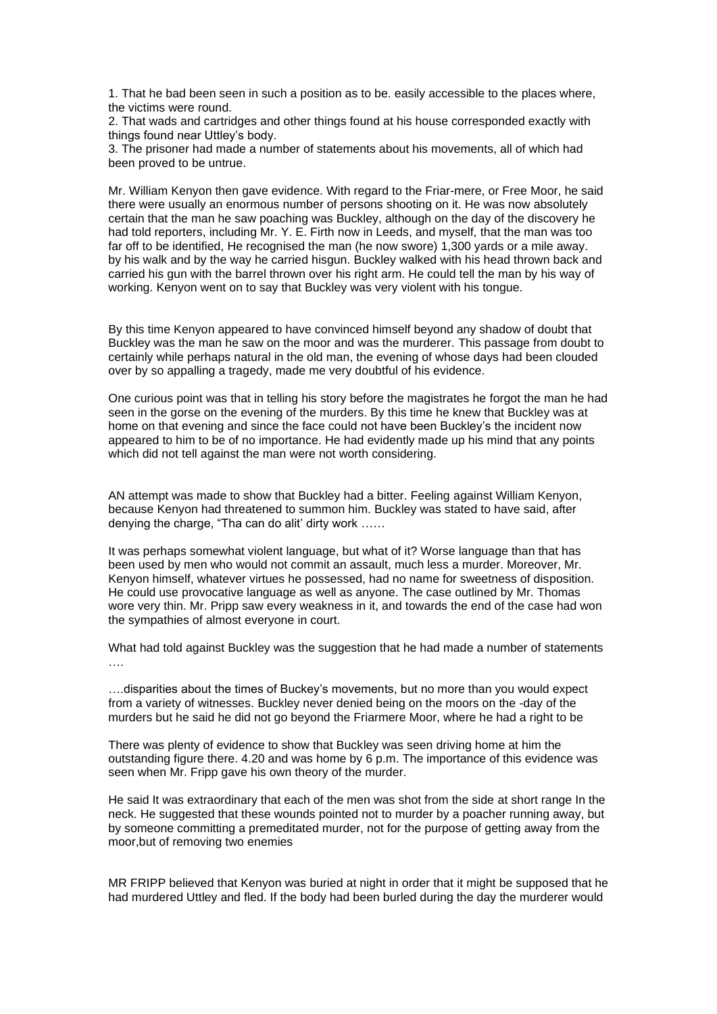1. That he bad been seen in such a position as to be. easily accessible to the places where, the victims were round.

2. That wads and cartridges and other things found at his house corresponded exactly with things found near Uttley's body.

3. The prisoner had made a number of statements about his movements, all of which had been proved to be untrue.

Mr. William Kenyon then gave evidence. With regard to the Friar-mere, or Free Moor, he said there were usually an enormous number of persons shooting on it. He was now absolutely certain that the man he saw poaching was Buckley, although on the day of the discovery he had told reporters, including Mr. Y. E. Firth now in Leeds, and myself, that the man was too far off to be identified. He recognised the man (he now swore) 1,300 vards or a mile away. by his walk and by the way he carried hisgun. Buckley walked with his head thrown back and carried his gun with the barrel thrown over his right arm. He could tell the man by his way of working. Kenyon went on to say that Buckley was very violent with his tongue.

By this time Kenyon appeared to have convinced himself beyond any shadow of doubt that Buckley was the man he saw on the moor and was the murderer. This passage from doubt to certainly while perhaps natural in the old man, the evening of whose days had been clouded over by so appalling a tragedy, made me very doubtful of his evidence.

One curious point was that in telling his story before the magistrates he forgot the man he had seen in the gorse on the evening of the murders. By this time he knew that Buckley was at home on that evening and since the face could not have been Buckley's the incident now appeared to him to be of no importance. He had evidently made up his mind that any points which did not tell against the man were not worth considering.

AN attempt was made to show that Buckley had a bitter. Feeling against William Kenyon, because Kenyon had threatened to summon him. Buckley was stated to have said, after denying the charge, "Tha can do alit' dirty work ……

It was perhaps somewhat violent language, but what of it? Worse language than that has been used by men who would not commit an assault, much less a murder. Moreover, Mr. Kenyon himself, whatever virtues he possessed, had no name for sweetness of disposition. He could use provocative language as well as anyone. The case outlined by Mr. Thomas wore very thin. Mr. Pripp saw every weakness in it, and towards the end of the case had won the sympathies of almost everyone in court.

What had told against Buckley was the suggestion that he had made a number of statements ….

….disparities about the times of Buckey's movements, but no more than you would expect from a variety of witnesses. Buckley never denied being on the moors on the -day of the murders but he said he did not go beyond the Friarmere Moor, where he had a right to be

There was plenty of evidence to show that Buckley was seen driving home at him the outstanding figure there. 4.20 and was home by 6 p.m. The importance of this evidence was seen when Mr. Fripp gave his own theory of the murder.

He said It was extraordinary that each of the men was shot from the side at short range In the neck. He suggested that these wounds pointed not to murder by a poacher running away, but by someone committing a premeditated murder, not for the purpose of getting away from the moor,but of removing two enemies

MR FRIPP believed that Kenyon was buried at night in order that it might be supposed that he had murdered Uttley and fled. If the body had been burled during the day the murderer would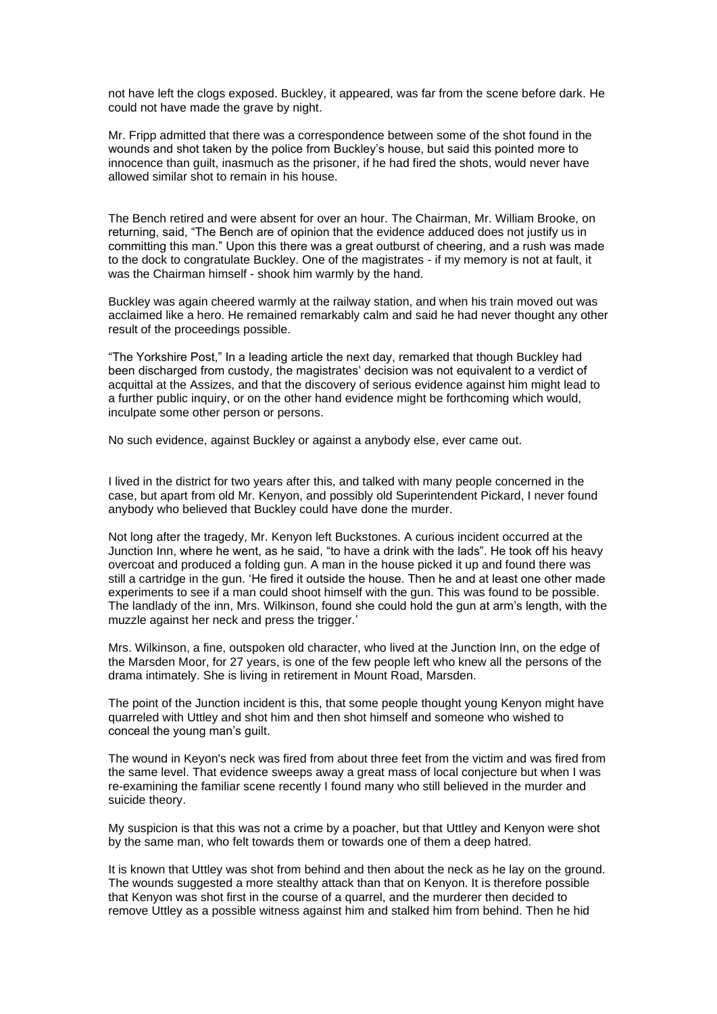not have left the clogs exposed. Buckley, it appeared, was far from the scene before dark. He could not have made the grave by night.

Mr. Fripp admitted that there was a correspondence between some of the shot found in the wounds and shot taken by the police from Buckley's house, but said this pointed more to innocence than guilt, inasmuch as the prisoner, if he had fired the shots, would never have allowed similar shot to remain in his house.

The Bench retired and were absent for over an hour. The Chairman, Mr. William Brooke, on returning, said, "The Bench are of opinion that the evidence adduced does not justify us in committing this man." Upon this there was a great outburst of cheering, and a rush was made to the dock to congratulate Buckley. One of the magistrates - if my memory is not at fault, it was the Chairman himself - shook him warmly by the hand.

Buckley was again cheered warmly at the railway station, and when his train moved out was acclaimed like a hero. He remained remarkably calm and said he had never thought any other result of the proceedings possible.

"The Yorkshire Post," In a leading article the next day, remarked that though Buckley had been discharged from custody, the magistrates' decision was not equivalent to a verdict of acquittal at the Assizes, and that the discovery of serious evidence against him might lead to a further public inquiry, or on the other hand evidence might be forthcoming which would, inculpate some other person or persons.

No such evidence, against Buckley or against a anybody else, ever came out.

I lived in the district for two years after this, and talked with many people concerned in the case, but apart from old Mr. Kenyon, and possibly old Superintendent Pickard, I never found anybody who believed that Buckley could have done the murder.

Not long after the tragedy, Mr. Kenyon left Buckstones. A curious incident occurred at the Junction Inn, where he went, as he said, "to have a drink with the lads". He took off his heavy overcoat and produced a folding gun. A man in the house picked it up and found there was still a cartridge in the gun. 'He fired it outside the house. Then he and at least one other made experiments to see if a man could shoot himself with the gun. This was found to be possible. The landlady of the inn, Mrs. Wilkinson, found she could hold the gun at arm's length, with the muzzle against her neck and press the trigger.'

Mrs. Wilkinson, a fine, outspoken old character, who lived at the Junction Inn, on the edge of the Marsden Moor, for 27 years, is one of the few people left who knew all the persons of the drama intimately. She is living in retirement in Mount Road, Marsden.

The point of the Junction incident is this, that some people thought young Kenyon might have quarreled with Uttley and shot him and then shot himself and someone who wished to conceal the young man's guilt.

The wound in Keyon's neck was fired from about three feet from the victim and was fired from the same level. That evidence sweeps away a great mass of local conjecture but when I was re-examining the familiar scene recently I found many who still believed in the murder and suicide theory.

My suspicion is that this was not a crime by a poacher, but that Uttley and Kenyon were shot by the same man, who felt towards them or towards one of them a deep hatred.

It is known that Uttley was shot from behind and then about the neck as he lay on the ground. The wounds suggested a more stealthy attack than that on Kenyon. It is therefore possible that Kenyon was shot first in the course of a quarrel, and the murderer then decided to remove Uttley as a possible witness against him and stalked him from behind. Then he hid